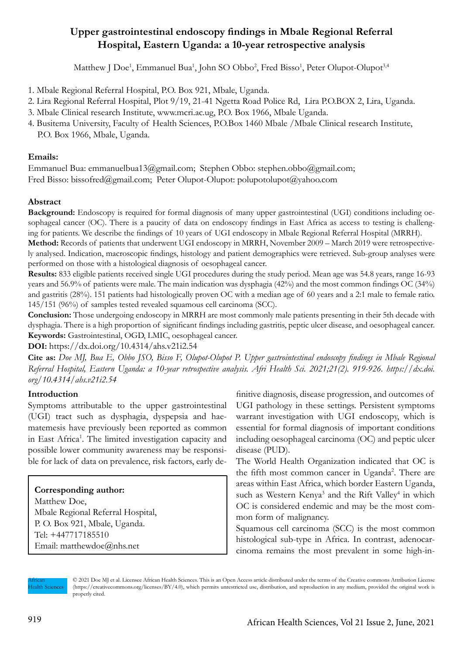# **Upper gastrointestinal endoscopy findings in Mbale Regional Referral Hospital, Eastern Uganda: a 10-year retrospective analysis**

Matthew J Doe<sup>1</sup>, Emmanuel Bua<sup>1</sup>, John SO Obbo<sup>2</sup>, Fred Bisso<sup>1</sup>, Peter Olupot-Olupot<sup>3,4</sup>

1. Mbale Regional Referral Hospital, P.O. Box 921, Mbale, Uganda.

- 2. Lira Regional Referral Hospital, Plot 9/19, 21-41 Ngetta Road Police Rd, Lira P.O.BOX 2, Lira, Uganda.
- 3. Mbale Clinical research Institute, www.mcri.ac.ug, P.O. Box 1966, Mbale Uganda.
- 4. Busitema University, Faculty of Health Sciences, P.O.Box 1460 Mbale /Mbale Clinical research Institute, P.O. Box 1966, Mbale, Uganda.

## **Emails:**

Emmanuel Bua: emmanuelbua13@gmail.com; Stephen Obbo: stephen.obbo@gmail.com; Fred Bisso: bissofred@gmail.com; Peter Olupot-Olupot: polupotolupot@yahoo.com

# **Abstract**

**Background:** Endoscopy is required for formal diagnosis of many upper gastrointestinal (UGI) conditions including oesophageal cancer (OC). There is a paucity of data on endoscopy findings in East Africa as access to testing is challenging for patients. We describe the findings of 10 years of UGI endoscopy in Mbale Regional Referral Hospital (MRRH).

**Method:** Records of patients that underwent UGI endoscopy in MRRH, November 2009 – March 2019 were retrospectively analysed. Indication, macroscopic findings, histology and patient demographics were retrieved. Sub-group analyses were performed on those with a histological diagnosis of oesophageal cancer.

**Results:** 833 eligible patients received single UGI procedures during the study period. Mean age was 54.8 years, range 16-93 years and 56.9% of patients were male. The main indication was dysphagia (42%) and the most common findings OC (34%) and gastritis (28%). 151 patients had histologically proven OC with a median age of 60 years and a 2:1 male to female ratio. 145/151 (96%) of samples tested revealed squamous cell carcinoma (SCC).

**Conclusion:** Those undergoing endoscopy in MRRH are most commonly male patients presenting in their 5th decade with dysphagia. There is a high proportion of significant findings including gastritis, peptic ulcer disease, and oesophageal cancer. **Keywords:** Gastrointestinal, OGD, LMIC, oesophageal cancer.

# **DOI:** https://dx.doi.org/10.4314/ahs.v21i2.54

**Cite as:** *Doe MJ, Bua E, Obbo JSO, Bisso F, Olupot-Olupot P. Upper gastrointestinal endoscopy findings in Mbale Regional Referral Hospital, Eastern Uganda: a 10-year retrospective analysis. Afri Health Sci. 2021;21(2). 919-926. https://dx.doi. org/10.4314/ahs.v21i2.54*

# **Introduction**

Symptoms attributable to the upper gastrointestinal (UGI) tract such as dysphagia, dyspepsia and haematemesis have previously been reported as common in East Africa<sup>1</sup>. The limited investigation capacity and possible lower community awareness may be responsible for lack of data on prevalence, risk factors, early de-

### **Corresponding author:**

Matthew Doe, Mbale Regional Referral Hospital, P. O. Box 921, Mbale, Uganda. Tel: +447717185510 Email: matthewdoe@nhs.net

finitive diagnosis, disease progression, and outcomes of UGI pathology in these settings. Persistent symptoms warrant investigation with UGI endoscopy, which is essential for formal diagnosis of important conditions including oesophageal carcinoma (OC) and peptic ulcer disease (PUD).

The World Health Organization indicated that OC is the fifth most common cancer in Uganda<sup>2</sup>. There are areas within East Africa, which border Eastern Uganda, such as Western Kenya<sup>3</sup> and the Rift Valley<sup>4</sup> in which OC is considered endemic and may be the most common form of malignancy.

Squamous cell carcinoma (SCC) is the most common histological sub-type in Africa. In contrast, adenocarcinoma remains the most prevalent in some high-in-



© 2021 Doe MJ et al. Licensee African Health Sciences. This is an Open Access article distributed under the terms of the Creative commons Attribution License (https://creativecommons.org/licenses/BY/4.0), which permits unrestricted use, distribution, and reproduction in any medium, provided the original work is properly cited.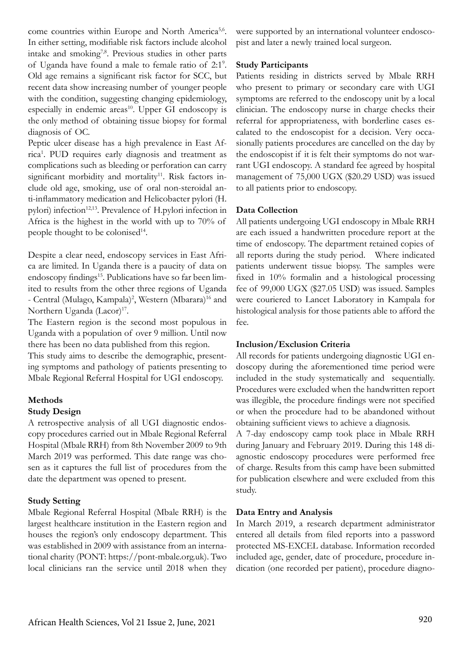come countries within Europe and North America<sup>5,6</sup>. In either setting, modifiable risk factors include alcohol intake and smoking<sup>7,8</sup>. Previous studies in other parts of Uganda have found a male to female ratio of 2:19 . Old age remains a significant risk factor for SCC, but recent data show increasing number of younger people with the condition, suggesting changing epidemiology, especially in endemic  $\arccos^{10}$ . Upper GI endoscopy is the only method of obtaining tissue biopsy for formal diagnosis of OC.

Peptic ulcer disease has a high prevalence in East Africa1 . PUD requires early diagnosis and treatment as complications such as bleeding or perforation can carry significant morbidity and mortality<sup>11</sup>. Risk factors include old age, smoking, use of oral non-steroidal anti-inflammatory medication and Helicobacter pylori (H. pylori) infection<sup>12,13</sup>. Prevalence of H.pylori infection in Africa is the highest in the world with up to 70% of people thought to be colonised<sup>14</sup>.

Despite a clear need, endoscopy services in East Africa are limited. In Uganda there is a paucity of data on endoscopy findings<sup>15</sup>. Publications have so far been limited to results from the other three regions of Uganda - Central (Mulago, Kampala)<sup>2</sup>, Western (Mbarara)<sup>16</sup> and Northern Uganda (Lacor)<sup>17</sup>.

The Eastern region is the second most populous in Uganda with a population of over 9 million. Until now there has been no data published from this region.

This study aims to describe the demographic, presenting symptoms and pathology of patients presenting to Mbale Regional Referral Hospital for UGI endoscopy.

### **Methods**

### **Study Design**

A retrospective analysis of all UGI diagnostic endoscopy procedures carried out in Mbale Regional Referral Hospital (Mbale RRH) from 8th November 2009 to 9th March 2019 was performed. This date range was chosen as it captures the full list of procedures from the date the department was opened to present.

# **Study Setting**

Mbale Regional Referral Hospital (Mbale RRH) is the largest healthcare institution in the Eastern region and houses the region's only endoscopy department. This was established in 2009 with assistance from an international charity (PONT: https://pont-mbale.org.uk). Two local clinicians ran the service until 2018 when they

were supported by an international volunteer endoscopist and later a newly trained local surgeon.

## **Study Participants**

Patients residing in districts served by Mbale RRH who present to primary or secondary care with UGI symptoms are referred to the endoscopy unit by a local clinician. The endoscopy nurse in charge checks their referral for appropriateness, with borderline cases escalated to the endoscopist for a decision. Very occasionally patients procedures are cancelled on the day by the endoscopist if it is felt their symptoms do not warrant UGI endoscopy. A standard fee agreed by hospital management of 75,000 UGX (\$20.29 USD) was issued to all patients prior to endoscopy.

# **Data Collection**

All patients undergoing UGI endoscopy in Mbale RRH are each issued a handwritten procedure report at the time of endoscopy. The department retained copies of all reports during the study period. Where indicated patients underwent tissue biopsy. The samples were fixed in 10% formalin and a histological processing fee of 99,000 UGX (\$27.05 USD) was issued. Samples were couriered to Lancet Laboratory in Kampala for histological analysis for those patients able to afford the fee.

# **Inclusion/Exclusion Criteria**

All records for patients undergoing diagnostic UGI endoscopy during the aforementioned time period were included in the study systematically and sequentially. Procedures were excluded when the handwritten report was illegible, the procedure findings were not specified or when the procedure had to be abandoned without obtaining sufficient views to achieve a diagnosis.

A 7-day endoscopy camp took place in Mbale RRH during January and February 2019. During this 148 diagnostic endoscopy procedures were performed free of charge. Results from this camp have been submitted for publication elsewhere and were excluded from this study.

# **Data Entry and Analysis**

In March 2019, a research department administrator entered all details from filed reports into a password protected MS-EXCEL database. Information recorded included age, gender, date of procedure, procedure indication (one recorded per patient), procedure diagno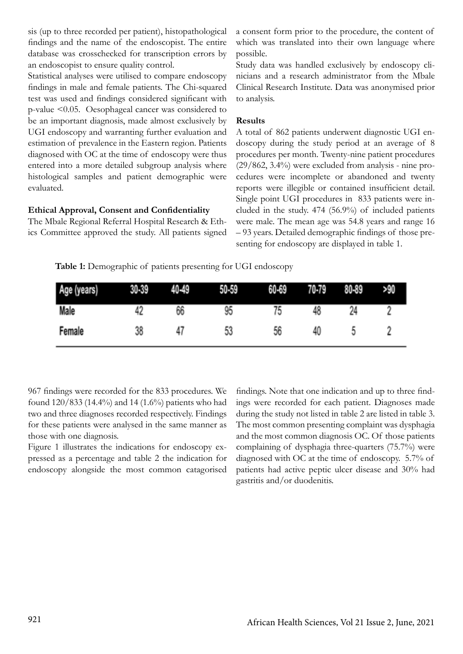sis (up to three recorded per patient), histopathological findings and the name of the endoscopist. The entire database was crosschecked for transcription errors by an endoscopist to ensure quality control.

Statistical analyses were utilised to compare endoscopy findings in male and female patients. The Chi-squared test was used and findings considered significant with p-value <0.05. Oesophageal cancer was considered to be an important diagnosis, made almost exclusively by UGI endoscopy and warranting further evaluation and estimation of prevalence in the Eastern region. Patients diagnosed with OC at the time of endoscopy were thus entered into a more detailed subgroup analysis where histological samples and patient demographic were evaluated.

### **Ethical Approval, Consent and Confidentiality**

The Mbale Regional Referral Hospital Research & Ethics Committee approved the study. All patients signed a consent form prior to the procedure, the content of which was translated into their own language where possible.

Study data was handled exclusively by endoscopy clinicians and a research administrator from the Mbale Clinical Research Institute. Data was anonymised prior to analysis.

### **Results**

A total of 862 patients underwent diagnostic UGI endoscopy during the study period at an average of 8 procedures per month. Twenty-nine patient procedures (29/862, 3.4%) were excluded from analysis - nine procedures were incomplete or abandoned and twenty reports were illegible or contained insufficient detail. Single point UGI procedures in 833 patients were included in the study. 474 (56.9%) of included patients were male. The mean age was 54.8 years and range 16 – 93 years. Detailed demographic findings of those presenting for endoscopy are displayed in table 1.

**Table 1:** Demographic of patients presenting for UGI endoscopy

| Age (years) | 30-39 | $-49$<br>40 | 50-59 | 60-69 | 70-79 | 80-89 | >90 |
|-------------|-------|-------------|-------|-------|-------|-------|-----|
| Male        |       | 66          | 95    | 75    | 48    | 24    |     |
| Female      | 38    | 41          | 53    | 56    | 40    | C     |     |

967 findings were recorded for the 833 procedures. We found 120/833 (14.4%) and 14 (1.6%) patients who had two and three diagnoses recorded respectively. Findings for these patients were analysed in the same manner as those with one diagnosis.

Figure 1 illustrates the indications for endoscopy expressed as a percentage and table 2 the indication for endoscopy alongside the most common catagorised findings. Note that one indication and up to three findings were recorded for each patient. Diagnoses made during the study not listed in table 2 are listed in table 3. The most common presenting complaint was dysphagia and the most common diagnosis OC. Of those patients complaining of dysphagia three-quarters (75.7%) were diagnosed with OC at the time of endoscopy. 5.7% of patients had active peptic ulcer disease and 30% had gastritis and/or duodenitis.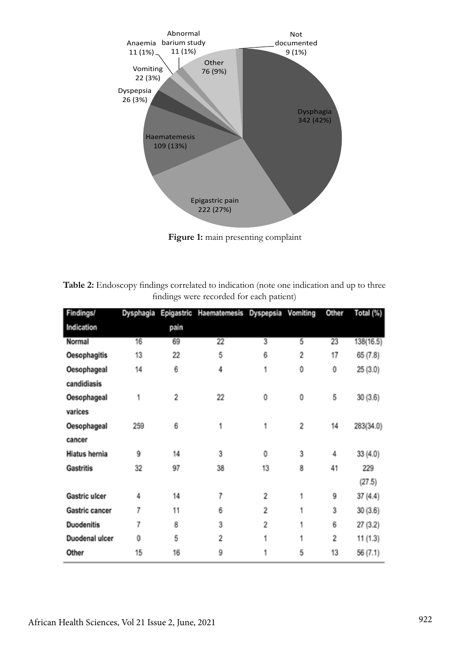

**Figure 1:** main presenting complaint

| Table 2: Endoscopy findings correlated to indication (note one indication and up to three |  |
|-------------------------------------------------------------------------------------------|--|
| findings were recorded for each patient)                                                  |  |

| Findings/         | Dysphagia |                | Epigastric Haematemesis | Dyspepsia | Vomiting | Other | Total (%) |
|-------------------|-----------|----------------|-------------------------|-----------|----------|-------|-----------|
| Indication        |           | pain           |                         |           |          |       |           |
| Normal            | 16        | 69             | 22                      | 3         | 5        | 23    | 138(16.5) |
| Oesophagitis      | 13        | 22             | 5                       | 6         | 2        | 17    | 65 (7.8)  |
| Oesophageal       | 14        | 6              | 4                       |           | 0        | 0     | 25(3.0)   |
| candidiasis       |           |                |                         |           |          |       |           |
| Oesophageal       | 1         | $\overline{c}$ | 22                      | 0         | 0        | 5     | 30(3.6)   |
| varices           |           |                |                         |           |          |       |           |
| Oesophageal       | 259       | 6              | 1                       | 1         | 2        | 14    | 283(34.0) |
| cancer            |           |                |                         |           |          |       |           |
| Hiatus hernia     | 9         | 14             | 3                       | Õ         | 3        | 4     | 33 (4.0)  |
| Gastritis         | 32        | 97             | 38                      | 13        | 8        | 41    | 229       |
|                   |           |                |                         |           |          |       | (27.5)    |
| Gastric ulcer     | 4         | 14             | 7                       | 2         | 1        | 9     | 37 (4.4)  |
| Gastric cancer    | 7         | 11             | 6                       | 2         | 1        | 3     | 30(3.6)   |
| <b>Duodenitis</b> | 7         | 8              | 3                       | 2         | 1        | 6     | 27(3.2)   |
| Duodenal ulcer    | 0         | 5              | 2                       | 1         | 1        | 2     | 11 (1.3)  |
| Other             | 15        | 16             | 9                       |           | 5        | 13    | 56 (7.1)  |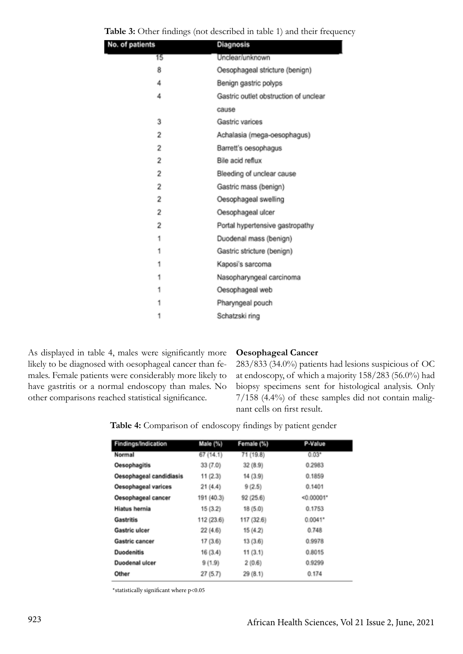| Table 3: Other findings (not described in table 1) and their frequency |  |  |  |  |  |
|------------------------------------------------------------------------|--|--|--|--|--|
|                                                                        |  |  |  |  |  |

| of patients             | Diagnosis                             |
|-------------------------|---------------------------------------|
| 15                      | Unclear/unknown                       |
| 8                       | Oesophageal stricture (benign)        |
| 4                       | Benign gastric polyps                 |
| 4                       | Gastric outlet obstruction of unclear |
|                         | cause                                 |
| 3                       | Gastric varices                       |
| 2                       | Achalasia (mega-oesophagus)           |
| 2                       | Barrett's oesophagus                  |
| 2                       | Bile acid reflux                      |
| 2                       | Bleeding of unclear cause             |
| $\overline{\mathbf{2}}$ | Gastric mass (benign)                 |
| 2                       | Oesophageal swelling                  |
| $\overline{2}$          | Oesophageal ulcer                     |
| $\overline{\mathbf{2}}$ | Portal hypertensive gastropathy       |
| 1                       | Duodenal mass (benign)                |
| 1                       | Gastric stricture (benign)            |
| 1                       | Kaposi's sarcoma                      |
| 1                       | Nasopharyngeal carcinoma              |
| 1                       | Oesophageal web                       |
| 1                       | Pharyngeal pouch                      |
| 1                       | Schatzski ring                        |

As displayed in table 4, males were significantly more likely to be diagnosed with oesophageal cancer than females. Female patients were considerably more likely to have gastritis or a normal endoscopy than males. No other comparisons reached statistical significance.

# **Oesophageal Cancer**

283/833 (34.0%) patients had lesions suspicious of OC at endoscopy, of which a majority 158/283 (56.0%) had biopsy specimens sent for histological analysis. Only 7/158 (4.4%) of these samples did not contain malignant cells on first result.

Table 4: Comparison of endoscopy findings by patient gender

| Findings/Indication     | Male (%)   | Female (%) | P-Value       |
|-------------------------|------------|------------|---------------|
| Normal                  | 67(14.1)   | 71 (19.8)  | $0.03*$       |
| <b>Oesophagitis</b>     | 33(7.0)    | 32(8.9)    | 0.2983        |
| Oesophageal candidiasis | 11(2.3)    | 14 (3.9)   | 0.1859        |
| Oesophageal varices     | 21(4.4)    | 9(2.5)     | 0.1401        |
| Oesophageal cancer      | 191 (40.3) | 92 (25.6)  | $< 0.00001$ * |
| Hiatus hernia           | 15(3.2)    | 18 (5.0)   | 0.1753        |
| <b>Gastritis</b>        | 112 (23.6) | 117 (32.6) | 0.0041*       |
| Gastric ulcer           | 22(4.6)    | 15(4.2)    | 0.748         |
| Gastric cancer          | 17(3.6)    | 13(3.6)    | 0.9978        |
| <b>Duodenitis</b>       | 16(3.4)    | 11(3.1)    | 0.8015        |
| Duodenal ulcer          | 9(1.9)     | 2(0.6)     | 0.9299        |
| Other                   | 27(5.7)    | 29(8.1)    | 0.174         |

\*statistically significant where p<0.05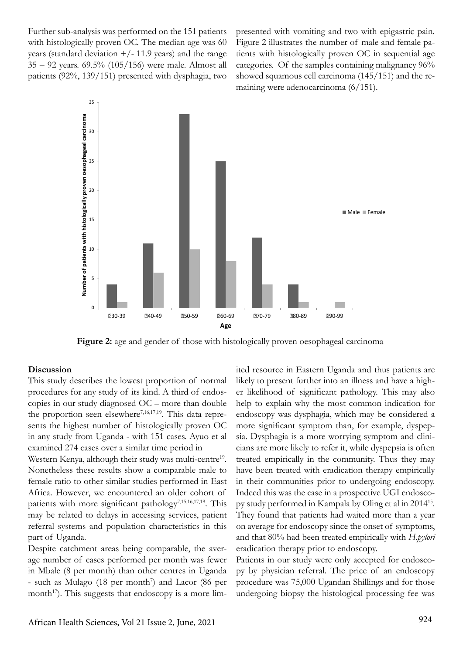Further sub-analysis was performed on the 151 patients with histologically proven OC. The median age was 60 years (standard deviation  $+/- 11.9$  years) and the range 35 – 92 years. 69.5% (105/156) were male. Almost all patients (92%, 139/151) presented with dysphagia, two

presented with vomiting and two with epigastric pain. Figure 2 illustrates the number of male and female patients with histologically proven OC in sequential age categories. Of the samples containing malignancy 96% showed squamous cell carcinoma (145/151) and the remaining were adenocarcinoma (6/151).



**Figure 2:** age and gender of those with histologically proven oesophageal carcinoma

### **Discussion**

This study describes the lowest proportion of normal procedures for any study of its kind. A third of endoscopies in our study diagnosed OC – more than double the proportion seen elsewhere<sup>7,16,17,19</sup>. This data represents the highest number of histologically proven OC in any study from Uganda - with 151 cases. Ayuo et al examined 274 cases over a similar time period in

Western Kenya, although their study was multi-centre<sup>19</sup>. Nonetheless these results show a comparable male to female ratio to other similar studies performed in East Africa. However, we encountered an older cohort of patients with more significant pathology<sup>7,15,16,17,19</sup>. This may be related to delays in accessing services, patient referral systems and population characteristics in this part of Uganda.

Despite catchment areas being comparable, the average number of cases performed per month was fewer in Mbale (8 per month) than other centres in Uganda - such as Mulago (18 per month<sup>7</sup>) and Lacor (86 per month<sup>17</sup>). This suggests that endoscopy is a more lim-

ited resource in Eastern Uganda and thus patients are likely to present further into an illness and have a higher likelihood of significant pathology. This may also help to explain why the most common indication for endoscopy was dysphagia, which may be considered a more significant symptom than, for example, dyspepsia. Dysphagia is a more worrying symptom and clinicians are more likely to refer it, while dyspepsia is often treated empirically in the community. Thus they may have been treated with eradication therapy empirically in their communities prior to undergoing endoscopy. Indeed this was the case in a prospective UGI endoscopy study performed in Kampala by Oling et al in 201415. They found that patients had waited more than a year on average for endoscopy since the onset of symptoms, and that 80% had been treated empirically with *H.pylori*  eradication therapy prior to endoscopy.

Patients in our study were only accepted for endoscopy by physician referral. The price of an endoscopy procedure was 75,000 Ugandan Shillings and for those undergoing biopsy the histological processing fee was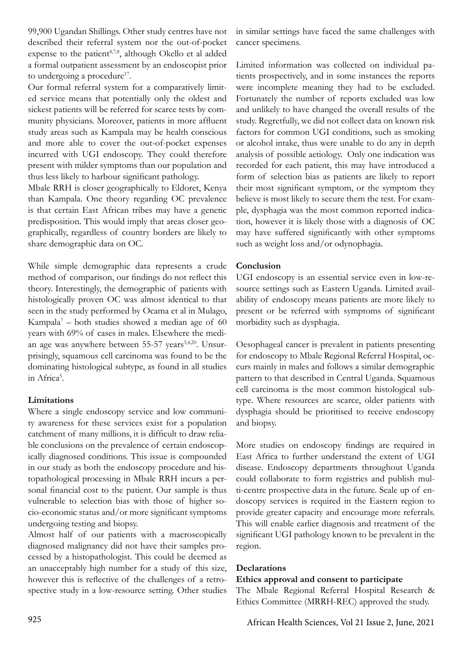99,900 Ugandan Shillings. Other study centres have not described their referral system nor the out-of-pocket expense to the patient<sup>4,7,8</sup>, although Okello et al added a formal outpatient assessment by an endoscopist prior to undergoing a procedure<sup>17</sup>.

Our formal referral system for a comparatively limited service means that potentially only the oldest and sickest patients will be referred for scarce tests by community physicians. Moreover, patients in more affluent study areas such as Kampala may be health conscious and more able to cover the out-of-pocket expenses incurred with UGI endoscopy. They could therefore present with milder symptoms than our population and thus less likely to harbour significant pathology.

Mbale RRH is closer geographically to Eldoret, Kenya than Kampala. One theory regarding OC prevalence is that certain East African tribes may have a genetic predisposition. This would imply that areas closer geographically, regardless of country borders are likely to share demographic data on OC.

While simple demographic data represents a crude method of comparison, our findings do not reflect this theory. Interestingly, the demographic of patients with histologically proven OC was almost identical to that seen in the study performed by Ocama et al in Mulago, Kampala<sup>7</sup> – both studies showed a median age of  $60$ years with 69% of cases in males. Elsewhere the median age was anywhere between 55-57 years<sup>3,4,20</sup>. Unsurprisingly, squamous cell carcinoma was found to be the dominating histological subtype, as found in all studies in Africa<sup>5</sup>.

# **Limitations**

Where a single endoscopy service and low community awareness for these services exist for a population catchment of many millions, it is difficult to draw reliable conclusions on the prevalence of certain endoscopically diagnosed conditions. This issue is compounded in our study as both the endoscopy procedure and histopathological processing in Mbale RRH incurs a personal financial cost to the patient. Our sample is thus vulnerable to selection bias with those of higher socio-economic status and/or more significant symptoms undergoing testing and biopsy.

Almost half of our patients with a macroscopically diagnosed malignancy did not have their samples processed by a histopathologist. This could be deemed as an unacceptably high number for a study of this size, however this is reflective of the challenges of a retrospective study in a low-resource setting. Other studies

in similar settings have faced the same challenges with cancer specimens.

Limited information was collected on individual patients prospectively, and in some instances the reports were incomplete meaning they had to be excluded. Fortunately the number of reports excluded was low and unlikely to have changed the overall results of the study. Regretfully, we did not collect data on known risk factors for common UGI conditions, such as smoking or alcohol intake, thus were unable to do any in depth analysis of possible aetiology. Only one indication was recorded for each patient, this may have introduced a form of selection bias as patients are likely to report their most significant symptom, or the symptom they believe is most likely to secure them the test. For example, dysphagia was the most common reported indication, however it is likely those with a diagnosis of OC may have suffered significantly with other symptoms such as weight loss and/or odynophagia.

# **Conclusion**

UGI endoscopy is an essential service even in low-resource settings such as Eastern Uganda. Limited availability of endoscopy means patients are more likely to present or be referred with symptoms of significant morbidity such as dysphagia.

Oesophageal cancer is prevalent in patients presenting for endoscopy to Mbale Regional Referral Hospital, occurs mainly in males and follows a similar demographic pattern to that described in Central Uganda. Squamous cell carcinoma is the most common histological subtype. Where resources are scarce, older patients with dysphagia should be prioritised to receive endoscopy and biopsy.

More studies on endoscopy findings are required in East Africa to further understand the extent of UGI disease. Endoscopy departments throughout Uganda could collaborate to form registries and publish multi-centre prospective data in the future. Scale up of endoscopy services is required in the Eastern region to provide greater capacity and encourage more referrals. This will enable earlier diagnosis and treatment of the significant UGI pathology known to be prevalent in the region.

### **Declarations**

# **Ethics approval and consent to participate**

The Mbale Regional Referral Hospital Research & Ethics Committee (MRRH-REC) approved the study.